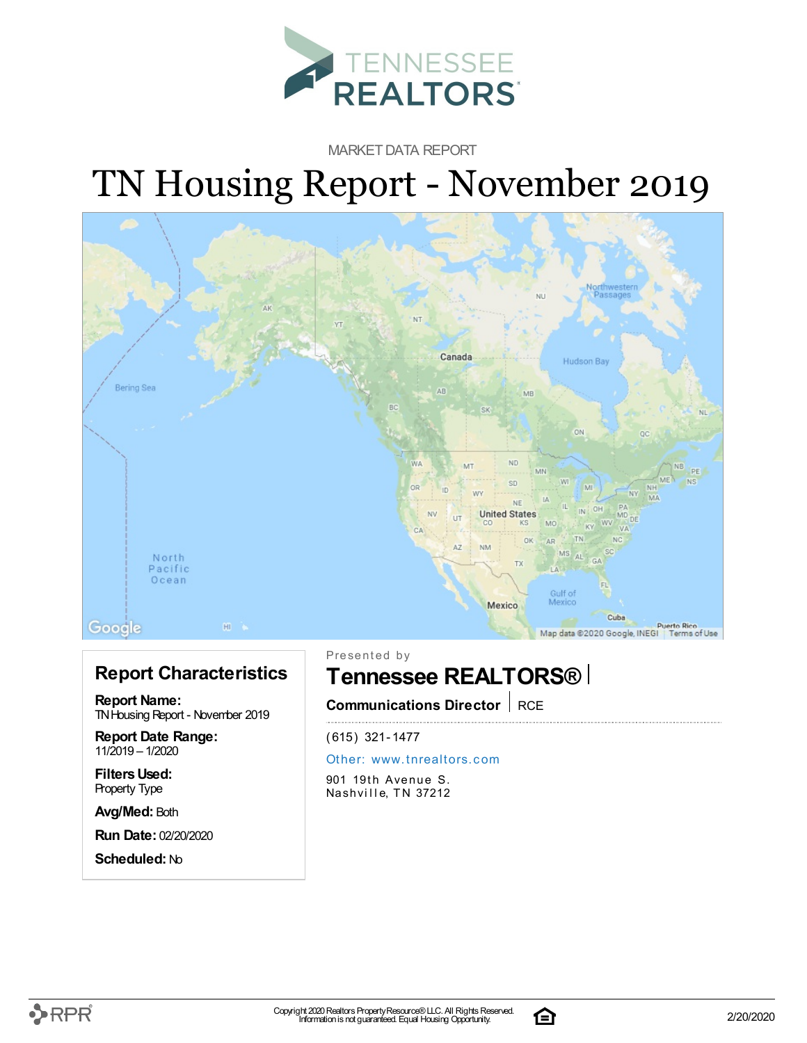

MARKET DATA REPORT

# TN Housing Report - November 2019



#### **Report Characteristics**

**Report Name:** TN Housing Report - November 2019

**Report Date Range:** 11/2019 – 1/2020

**FiltersUsed:** Property Type

**Avg/Med:** Both

**Run Date:** 02/20/2020

**Scheduled:** No

Presented by

### **Tennessee REALTORS®**

**Communications Director** RCE

(615) 321-1477

#### Other: [www.](http://www.tnrealtors.com)tnrealtors.com

901 19th Avenue S. Nashville, TN 37212



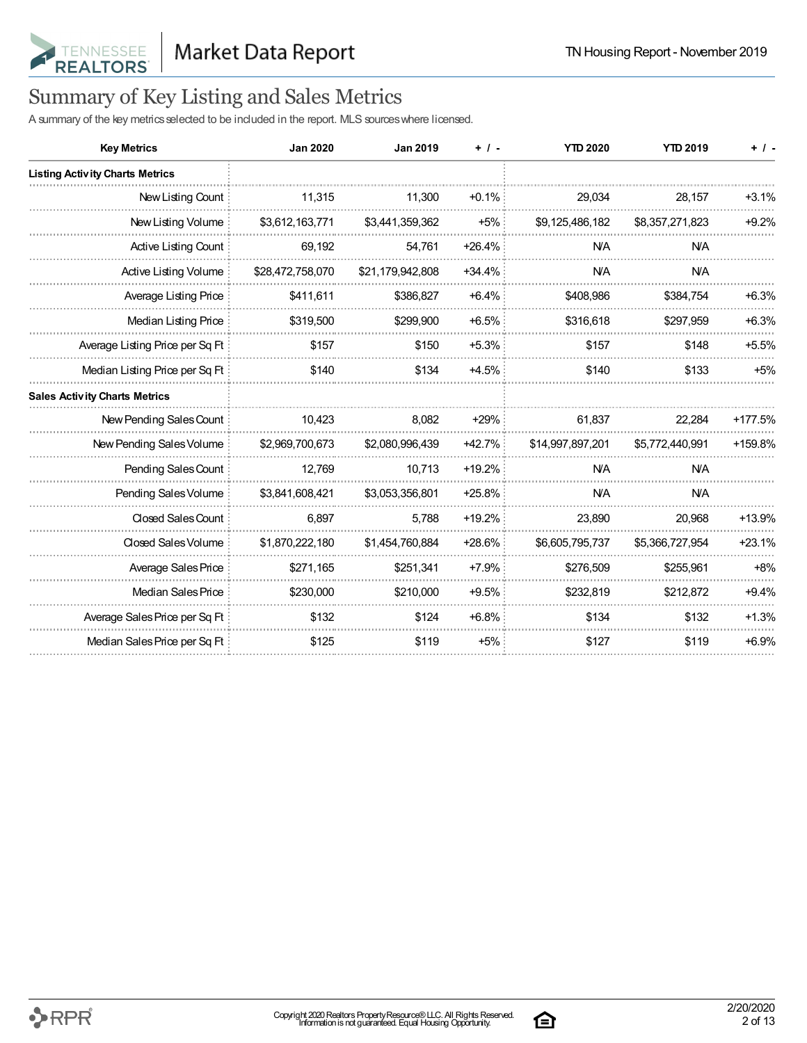

## Summary of Key Listing and Sales Metrics

A summary of the key metrics selected to be included in the report. MLS sources where licensed.

| <b>Key Metrics</b>                     | <b>Jan 2020</b>  | <b>Jan 2019</b>  | $+$ / -  | <b>YTD 2020</b>  | <b>YTD 2019</b> | $+$ / -  |
|----------------------------------------|------------------|------------------|----------|------------------|-----------------|----------|
| <b>Listing Activity Charts Metrics</b> |                  |                  |          |                  |                 |          |
| New Listing Count                      | 11,315           | 11,300           | $+0.1%$  | 29,034           | 28,157          | $+3.1%$  |
| New Listing Volume                     | \$3,612,163,771  | \$3,441,359,362  | $+5%$    | \$9,125,486,182  | \$8,357,271,823 | $+9.2%$  |
| Active Listing Count                   | 69,192           | 54,761           | $+26.4%$ | <b>NA</b>        | <b>NA</b>       |          |
| Active Listing Volume                  | \$28,472,758,070 | \$21,179,942,808 | $+34.4%$ | <b>N/A</b>       | <b>N/A</b>      |          |
| Average Listing Price                  | \$411,611        | \$386,827        | $+6.4%$  | \$408,986        | \$384,754       | $+6.3%$  |
| Median Listing Price                   | \$319,500        | \$299,900        | $+6.5%$  | \$316,618        | \$297,959       | $+6.3%$  |
| Average Listing Price per Sq Ft        | \$157            | \$150            | $+5.3%$  | \$157            | \$148           | $+5.5%$  |
| Median Listing Price per Sq Ft         | \$140            | \$134            | $+4.5%$  | \$140            | \$133           | $+5%$    |
| <b>Sales Activity Charts Metrics</b>   |                  |                  |          |                  |                 |          |
| New Pending Sales Count                | 10,423           | 8.082            | $+29%$   | 61,837           | 22,284          | +177.5%  |
| New Pending Sales Volume               | \$2,969,700,673  | \$2,080,996,439  | $+42.7%$ | \$14,997,897,201 | \$5,772,440,991 | +159.8%  |
| Pending Sales Count                    | 12,769           | 10,713           | $+19.2%$ | <b>N/A</b>       | <b>N/A</b>      |          |
| Pending Sales Volume                   | \$3,841,608,421  | \$3,053,356,801  | $+25.8%$ | <b>NA</b>        | <b>NA</b>       |          |
| <b>Closed Sales Count</b>              | 6,897            | 5,788            | $+19.2%$ | 23,890           | 20,968          | $+13.9%$ |
| Closed Sales Volume                    | \$1,870,222,180  | \$1,454,760,884  | $+28.6%$ | \$6,605,795,737  | \$5,366,727,954 | $+23.1%$ |
| Average Sales Price                    | \$271,165        | \$251,341        | $+7.9%$  | \$276,509        | \$255,961       | $+8%$    |
| Median Sales Price                     | \$230,000        | \$210,000        | $+9.5%$  | \$232,819        | \$212,872       | $+9.4%$  |
| Average Sales Price per Sq Ft          | \$132            | \$124            | $+6.8%$  | \$134            | \$132           | $+1.3%$  |
| Median Sales Price per Sq Ft           | \$125            | \$119            | $+5%$    | \$127            | \$119           | $+6.9%$  |

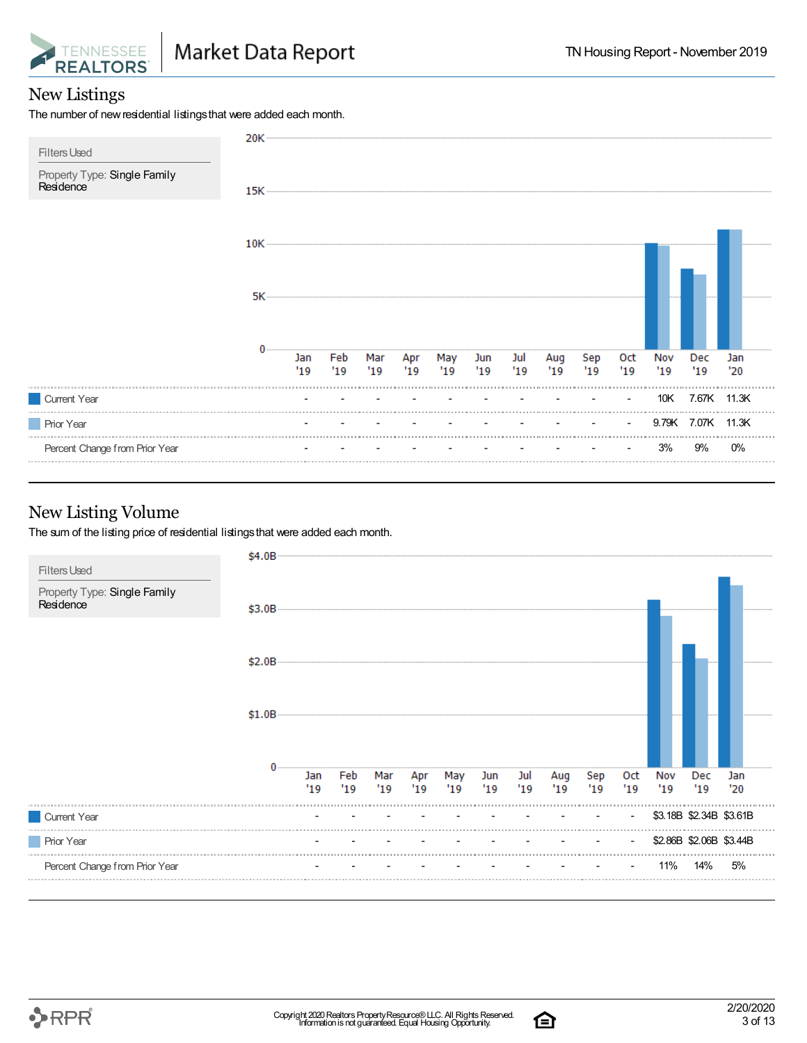

#### New Listings

The number of new residential listings that were added each month.



#### New Listing Volume

The sum of the listing price of residential listings that were added each month.



合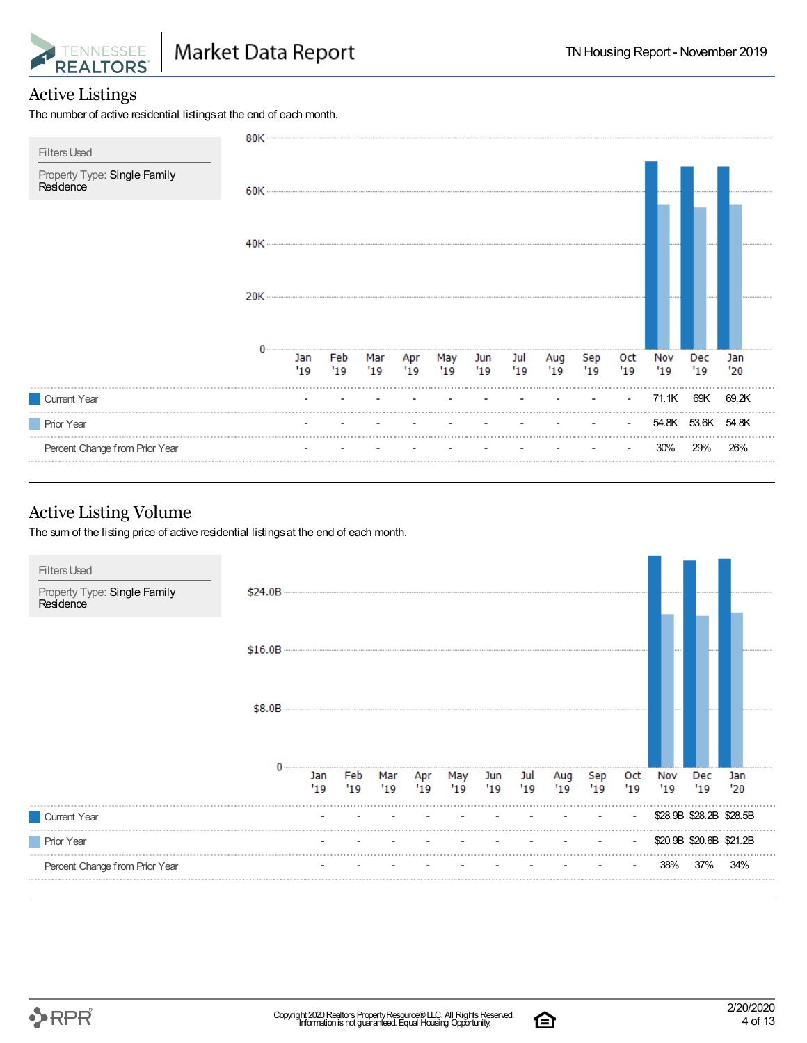

#### Active Listings

The number of active residential listings at the end of each month.



#### Active Listing Volume

The sum of the listing price of active residential listings at the end of each month.





合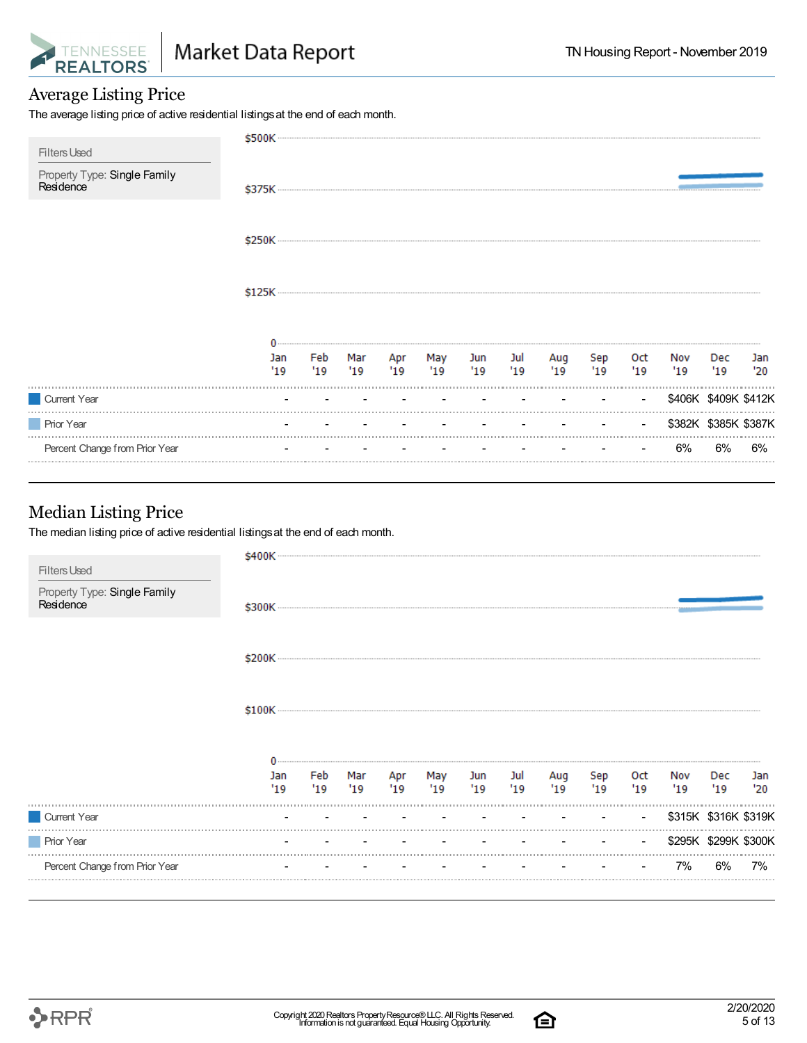

#### Average Listing Price

The average listing price of active residential listings at the end of each month.

| <b>Filters Used</b>                       | \$500K     |            |            |           |           |               |    |           |           |                |                      |                      |            |
|-------------------------------------------|------------|------------|------------|-----------|-----------|---------------|----|-----------|-----------|----------------|----------------------|----------------------|------------|
| Property Type: Single Family<br>Residence |            |            |            |           |           |               |    |           |           |                |                      |                      |            |
|                                           |            |            |            |           |           |               |    |           |           |                |                      |                      |            |
|                                           |            |            |            |           |           |               |    |           |           |                |                      |                      |            |
|                                           |            |            |            |           |           |               |    |           |           |                |                      |                      |            |
|                                           | Jan<br>'19 | Feb<br>'19 | Mar<br>'19 | Apr<br>19 | May<br>19 | Jun Jul<br>19 | 19 | Aug<br>19 | Sep<br>19 | Oct<br>19      | Nov<br>'19           | Dec<br>'19           | Jan<br>'20 |
| Current Year                              |            |            |            |           |           |               |    |           |           | $\blacksquare$ |                      | \$406K \$409K \$412K |            |
| <b>Prior Year</b>                         |            |            |            |           |           |               |    |           |           | $\sim$         | \$382K \$385K \$387K |                      |            |
| Percent Change from Prior Year            |            |            |            |           |           |               |    |           |           |                | 6%                   | 6%                   | 6%         |

#### Median Listing Price

The median listing price of active residential listings at the end of each month.

| <b>Filters Used</b>                       | \$400K     |            |             |            |            |             |           |            |            |                   |            |                      |            |
|-------------------------------------------|------------|------------|-------------|------------|------------|-------------|-----------|------------|------------|-------------------|------------|----------------------|------------|
| Property Type: Single Family<br>Residence |            |            |             |            |            |             |           |            |            |                   |            |                      |            |
|                                           |            |            |             |            |            |             |           |            |            |                   |            |                      |            |
|                                           |            |            |             |            |            |             |           |            |            |                   |            |                      |            |
|                                           |            |            |             |            |            |             |           |            |            |                   |            |                      |            |
|                                           | Jan<br>'19 | Feb<br>'19 | Mar<br>"19" | Apr<br>'19 | May<br>'19 | Jun<br>"19" | Jul<br>19 | Aug<br>'19 | Sep<br>'19 | <b>Oct</b><br>'19 | Nov<br>'19 | Dec<br>'19           | Jan<br>'20 |
| Current Year                              |            |            |             |            |            |             |           |            |            | $\sim$            |            | \$315K \$316K \$319K |            |
| <b>Prior Year</b>                         |            |            |             |            |            |             |           |            |            | $\blacksquare$    |            | \$295K \$299K \$300K |            |
| Percent Change from Prior Year            |            |            |             |            |            |             |           |            |            |                   | 7%         | 6%                   | 7%         |
|                                           |            |            |             |            |            |             |           |            |            |                   |            |                      |            |

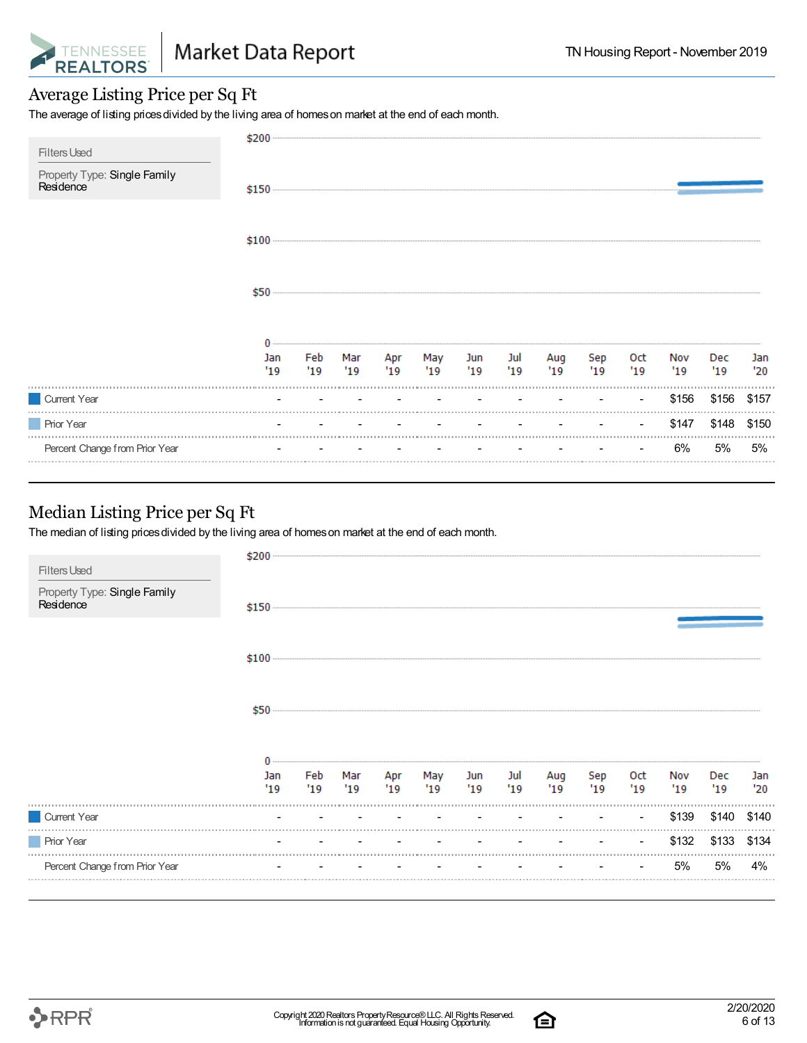

#### Average Listing Price per Sq Ft

The average of listing prices divided by the living area of homes on market at the end of each month.

| <b>Filters Used</b>                       | \$200      |            |            |            |            |            |           |             |           |                |            |            |            |
|-------------------------------------------|------------|------------|------------|------------|------------|------------|-----------|-------------|-----------|----------------|------------|------------|------------|
| Property Type: Single Family<br>Residence |            |            |            |            |            |            |           |             |           |                |            |            |            |
|                                           |            |            |            |            |            |            |           |             |           |                |            |            |            |
|                                           | \$50       |            |            |            |            |            |           |             |           |                |            |            |            |
|                                           | Jan<br>'19 | Feb<br>'19 | Mar<br>'19 | Apr<br>'19 | May<br>'19 | Jun<br>'19 | Jul<br>19 | Aug<br>'19' | Sep<br>19 | Oct<br>19      | Nov<br>'19 | Dec<br>'19 | Jan<br>'20 |
| Current Year                              |            |            |            |            |            |            |           |             |           | $\blacksquare$ | \$156      | \$156      | \$157      |
| <b>Prior Year</b>                         |            |            |            |            |            |            |           |             |           |                | \$147      | \$148      | \$150      |
| Percent Change from Prior Year            |            |            |            |            |            |            |           |             |           |                | 6%         | 5%         | 5%         |

#### Median Listing Price per Sq Ft

The median of listing prices divided by the living area of homes on market at the end of each month.

| Property Type: Single Family<br>Residence<br>Jul<br>Feb<br>Mar<br>Apr May<br>Jun<br>Sep<br>Aug<br>Oct<br>Nov<br>Jan<br>Dec<br>Jan<br>19<br>'19<br>"19"<br>'19<br>19<br>19<br>'19<br>'19<br>"19"<br>'19<br>'19<br>'20<br>'19<br>\$139<br>Current Year<br>\$140<br>the contract of the contract of the contract of<br>the company of the company of the<br>$\sim$<br>$\sim$<br><b>Prior Year</b><br>\$132<br>\$133<br>Percent Change from Prior Year<br>5%<br>5%<br>4%<br>$\blacksquare$ | <b>Filters Used</b> | \$200 |  |  |  |  |  |       |
|----------------------------------------------------------------------------------------------------------------------------------------------------------------------------------------------------------------------------------------------------------------------------------------------------------------------------------------------------------------------------------------------------------------------------------------------------------------------------------------|---------------------|-------|--|--|--|--|--|-------|
|                                                                                                                                                                                                                                                                                                                                                                                                                                                                                        |                     |       |  |  |  |  |  |       |
|                                                                                                                                                                                                                                                                                                                                                                                                                                                                                        |                     |       |  |  |  |  |  |       |
|                                                                                                                                                                                                                                                                                                                                                                                                                                                                                        |                     |       |  |  |  |  |  |       |
|                                                                                                                                                                                                                                                                                                                                                                                                                                                                                        |                     |       |  |  |  |  |  |       |
|                                                                                                                                                                                                                                                                                                                                                                                                                                                                                        |                     |       |  |  |  |  |  | \$140 |
|                                                                                                                                                                                                                                                                                                                                                                                                                                                                                        |                     |       |  |  |  |  |  | \$134 |
|                                                                                                                                                                                                                                                                                                                                                                                                                                                                                        |                     |       |  |  |  |  |  |       |

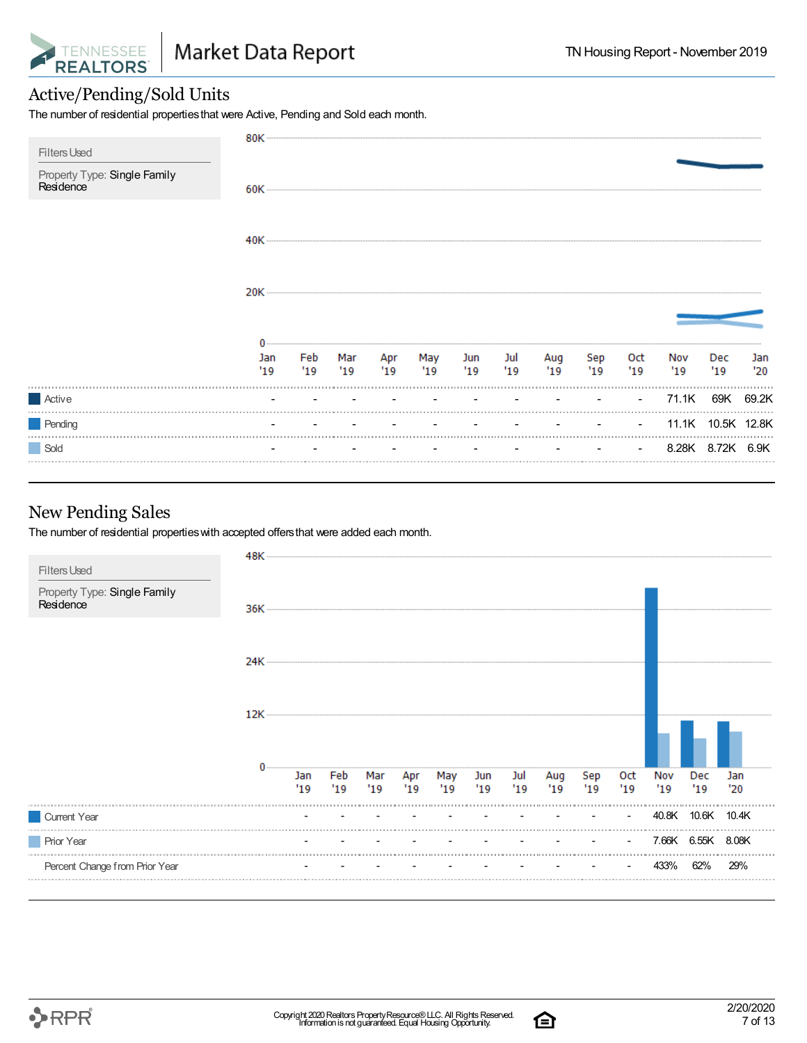

#### Active/Pending/Sold Units

The number of residential propertiesthat were Active, Pending and Sold each month.

| <b>Filters Used</b>                       |            |             |  |                            |                        |           |           |                                   |                   |            |            |
|-------------------------------------------|------------|-------------|--|----------------------------|------------------------|-----------|-----------|-----------------------------------|-------------------|------------|------------|
| Property Type: Single Family<br>Residence |            |             |  |                            |                        |           |           |                                   |                   |            |            |
|                                           |            |             |  |                            |                        |           |           |                                   |                   |            |            |
|                                           |            |             |  |                            |                        |           |           |                                   |                   |            |            |
|                                           |            |             |  |                            |                        |           |           |                                   |                   |            |            |
|                                           | Jan<br>'19 | Feb<br>"19" |  | Mar Apr May<br>'19 '19 '19 | Jun Jul<br>$'19$ $'19$ | Aug<br>19 | Sep<br>19 | Oct<br>'19                        | Nov<br>"19"       | Dec<br>'19 | Jan<br>'20 |
| Active                                    |            |             |  |                            |                        |           |           | <b>Contract Contract Contract</b> | 71.1K             |            | 69K 69.2K  |
| Pending                                   |            |             |  |                            |                        |           |           | <b>Contract Contract</b>          | 11.1K 10.5K 12.8K |            |            |
| Sold                                      |            |             |  |                            |                        |           |           | $\sim$                            | 8.28K 8.72K 6.9K  |            |            |

#### New Pending Sales

The number of residential propertieswith accepted offersthat were added each month.



白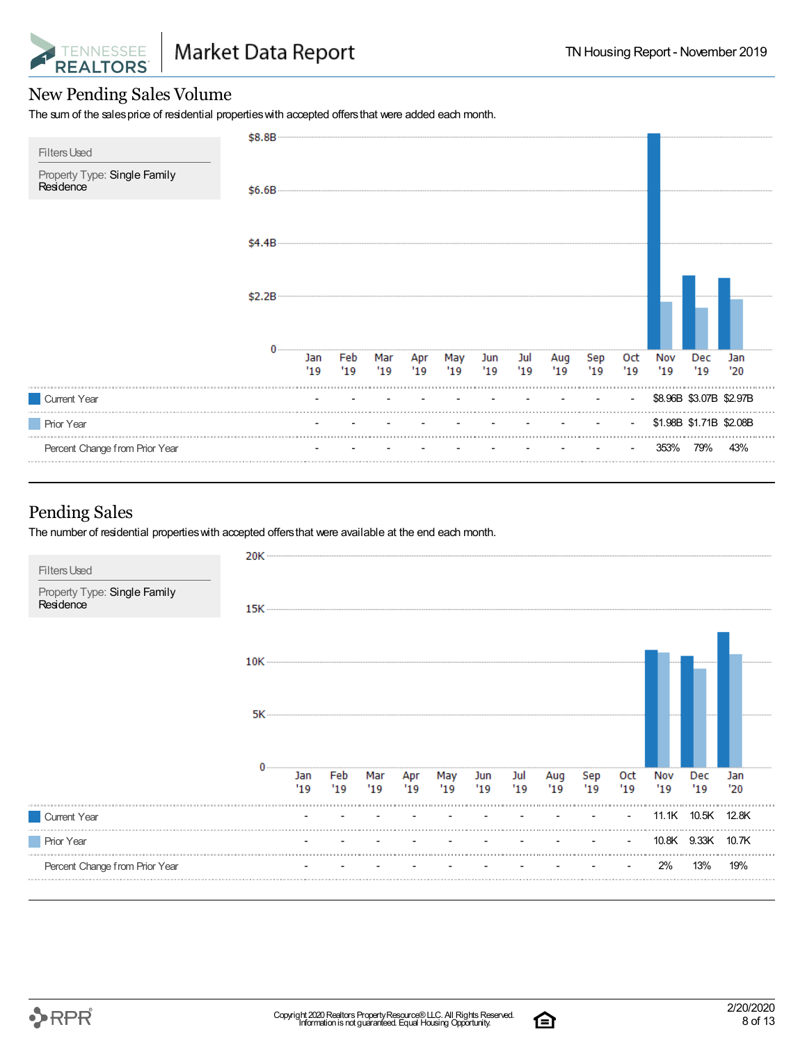

#### New Pending Sales Volume

The sum of the sales price of residential properties with accepted offers that were added each month.

| \$8.8B |            |             |            |     |     |            |            |            |            |                          |            |            |                                                    |
|--------|------------|-------------|------------|-----|-----|------------|------------|------------|------------|--------------------------|------------|------------|----------------------------------------------------|
| \$6.6B |            |             |            |     |     |            |            |            |            |                          |            |            |                                                    |
| \$4.4B |            |             |            |     |     |            |            |            |            |                          |            |            |                                                    |
| \$2.2B |            |             |            |     |     |            |            |            |            |                          |            |            |                                                    |
|        | Jan<br>'19 | Feb<br>"19" | Mar<br>'19 | '19 | '19 | Jun<br>'19 | Jul<br>'19 | Aug<br>'19 | Sep<br>'19 | 0ct<br>"19"              | Nov<br>'19 | Dec<br>'19 | Jan<br>'20                                         |
|        |            |             |            |     |     |            |            |            |            | $\blacksquare$           |            |            |                                                    |
|        |            |             |            |     |     |            |            |            |            | $\overline{\phantom{a}}$ |            |            |                                                    |
|        |            |             |            |     |     |            |            |            |            |                          | 353%       | 79%        | 43%                                                |
|        |            |             |            |     |     | Apr        | May        |            |            |                          |            |            | \$8.96B \$3.07B \$2.97B<br>\$1.98B \$1.71B \$2.08B |

#### Pending Sales

The number of residential properties with accepted offers that were available at the end each month.



白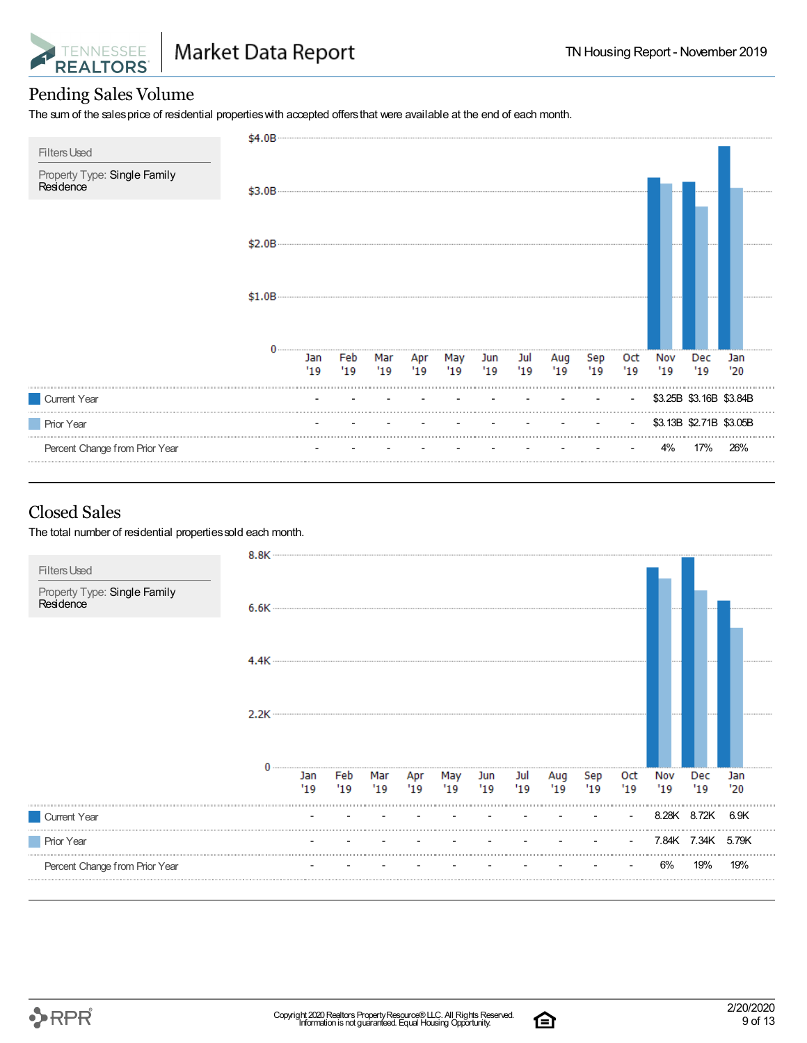

#### Pending Sales Volume

The sum of the salesprice of residential propertieswith accepted offersthat were available at the end of each month.

| <b>Filters Used</b>                       | \$4.0B |            |            |            |           |            |            |             |             |            |                   |            |                         |            |
|-------------------------------------------|--------|------------|------------|------------|-----------|------------|------------|-------------|-------------|------------|-------------------|------------|-------------------------|------------|
| Property Type: Single Family<br>Residence | \$3.0B |            |            |            |           |            |            |             |             |            |                   |            |                         |            |
|                                           | \$2.0B |            |            |            |           |            |            |             |             |            |                   |            |                         |            |
|                                           | \$1.0B |            |            |            |           |            |            |             |             |            |                   |            |                         |            |
|                                           |        | Jan<br>'19 | Feb<br>'19 | Mar<br>'19 | Apr<br>19 | May<br>'19 | Jun<br>'19 | Jul<br>"19" | Aug<br>"19" | Sep<br>'19 | <b>Oct</b><br>'19 | Nov<br>'19 | Dec<br>'19              | Jan<br>'20 |
| Current Year                              |        |            |            |            |           |            |            |             |             |            |                   |            | \$3.25B \$3.16B \$3.84B |            |
| Prior Year                                |        |            |            |            |           |            |            |             |             |            | $\blacksquare$    |            | \$3.13B \$2.71B \$3.05B |            |
| Percent Change from Prior Year            |        |            |            |            |           |            |            |             |             |            |                   | 4%         | 17%                     | 26%        |

#### Closed Sales

The total number of residential properties sold each month.



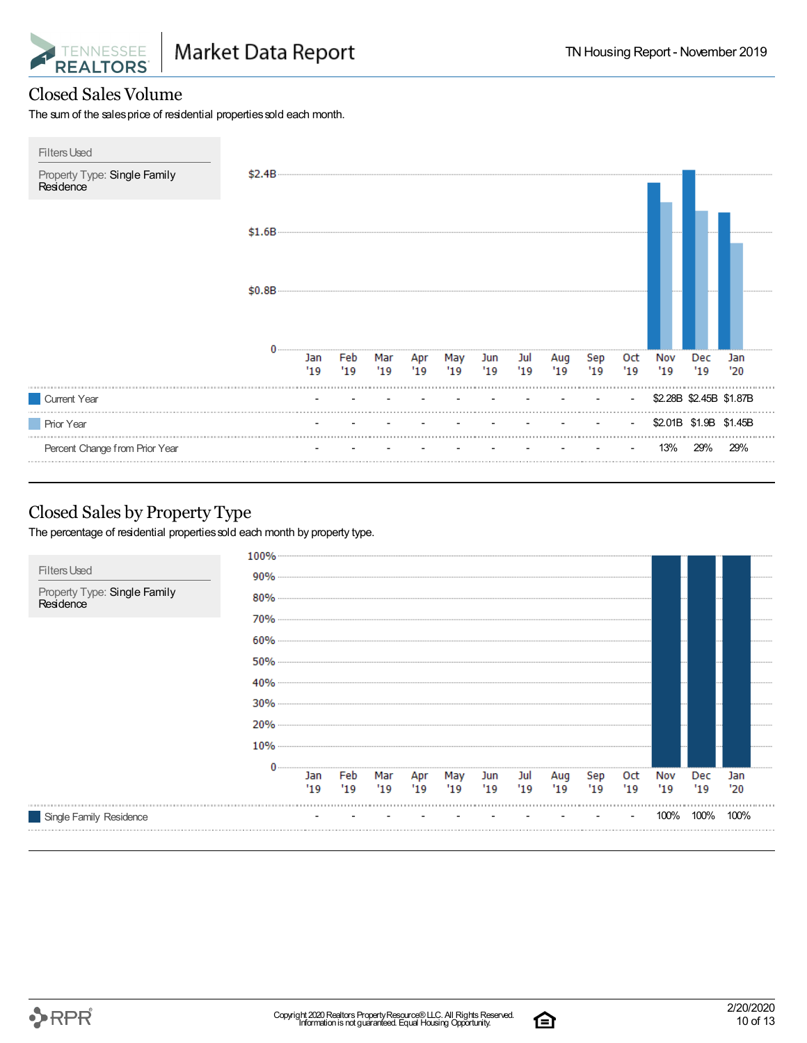

#### Closed Sales Volume

The sum of the sales price of residential properties sold each month.



#### Closed Sales by Property Type

The percentage of residential properties sold each month by property type.



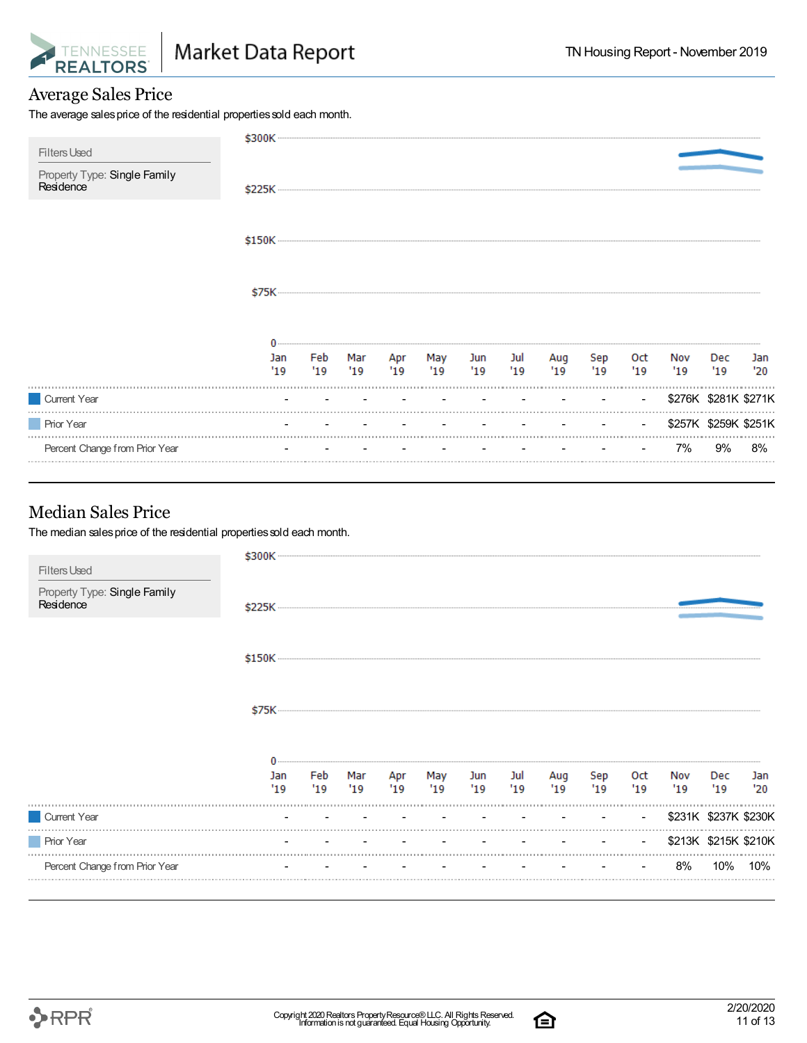

#### Average Sales Price

The average sales price of the residential properties sold each month.

|                                                                  | \$300K      |           |      |               |           |           |                          |            |           |                |                      |                      |            |
|------------------------------------------------------------------|-------------|-----------|------|---------------|-----------|-----------|--------------------------|------------|-----------|----------------|----------------------|----------------------|------------|
| <b>Filters Used</b><br>Property Type: Single Family<br>Residence | \$225K ---- |           |      |               |           |           |                          |            |           |                |                      |                      |            |
|                                                                  |             |           |      |               |           |           |                          |            |           |                |                      |                      |            |
|                                                                  |             |           |      |               |           |           |                          |            |           |                |                      |                      |            |
|                                                                  |             |           |      |               |           |           |                          |            |           |                |                      |                      |            |
|                                                                  | Jan<br>'19  | Feb<br>19 | "19" | Mar Apr<br>19 | May<br>19 | Jun<br>19 | Jul<br>'19               | Aug<br>'19 | Sep<br>19 | Oct<br>'19     | Nov<br>'19           | Dec<br>'19           | Jan<br>'20 |
| Current Year                                                     |             |           |      |               |           |           |                          |            |           | $\blacksquare$ |                      | \$276K \$281K \$271K |            |
| <b>Prior Year</b>                                                |             |           |      |               |           |           | <b>Contract Contract</b> |            |           | $\sim$         | \$257K \$259K \$251K |                      |            |
| Percent Change from Prior Year                                   |             |           |      |               |           |           |                          |            |           | $\sim$         | 7%                   | 9%                   | 8%         |
|                                                                  |             |           |      |               |           |           |                          |            |           |                |                      |                      |            |

#### Median Sales Price

The median sales price of the residential properties sold each month.

| <b>Filters Used</b>                       | \$300K     |             |             |            |            |                      |             |            |            |                |            |                      |            |
|-------------------------------------------|------------|-------------|-------------|------------|------------|----------------------|-------------|------------|------------|----------------|------------|----------------------|------------|
| Property Type: Single Family<br>Residence | \$225K     |             |             |            |            |                      |             |            |            |                |            |                      |            |
|                                           |            |             |             |            |            |                      |             |            |            |                |            |                      |            |
|                                           | \$75K      |             |             |            |            |                      |             |            |            |                |            |                      |            |
|                                           |            |             |             |            |            |                      |             |            |            |                |            |                      |            |
|                                           | Jan<br>'19 | Feb<br>"19" | Mar<br>"19" | Apr<br>'19 | May<br>'19 | Jun<br>$^{\prime}19$ | Jul<br>"19" | Aug<br>'19 | Sep<br>'19 | Oct<br>'19     | Nov<br>'19 | Dec<br>'19           | Jan<br>'20 |
| Current Year                              |            |             |             |            |            |                      |             |            |            | $\sim$         |            | \$231K \$237K \$230K |            |
| <b>Prior Year</b>                         |            |             |             |            |            |                      |             |            |            | $\blacksquare$ |            | \$213K \$215K \$210K |            |
| Percent Change from Prior Year            |            |             |             |            |            |                      |             |            |            |                | 8%         | 10%                  | 10%        |
|                                           |            |             |             |            |            |                      |             |            |            |                |            |                      |            |

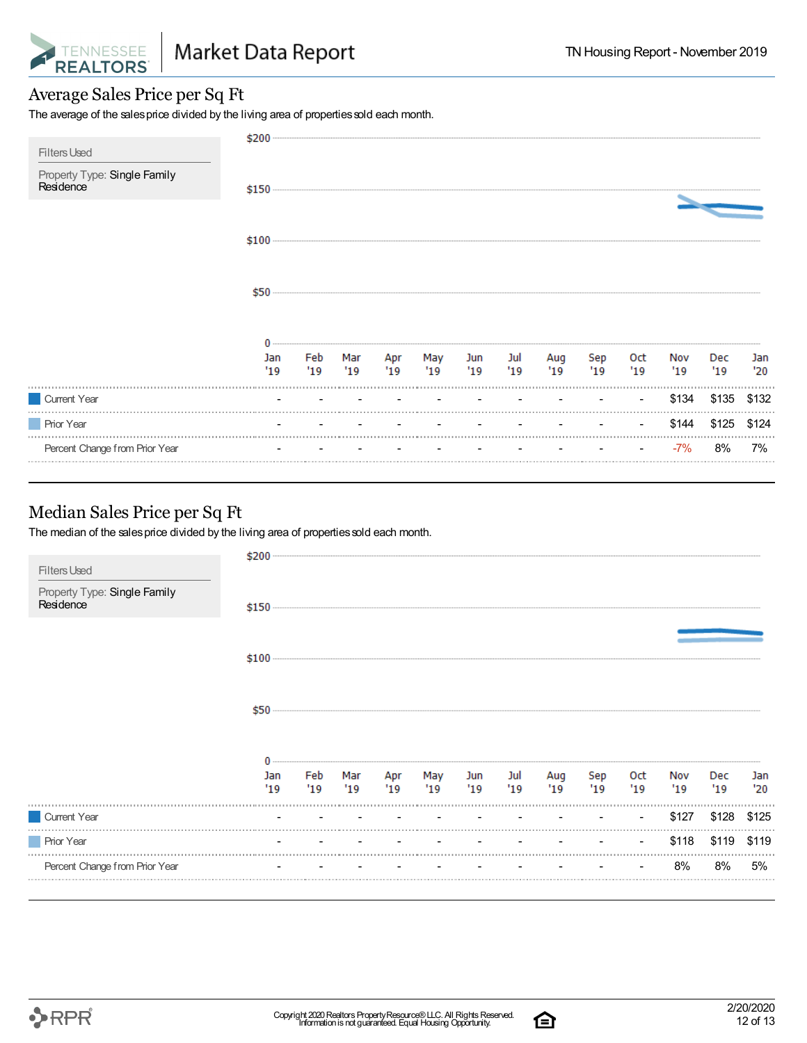

#### Average Sales Price per Sq Ft

The average of the sales price divided by the living area of properties sold each month.

| <b>Filters Used</b>                       | $$200$ $-$ |            |            |            |            |            |           |            |            |             |            |            |            |
|-------------------------------------------|------------|------------|------------|------------|------------|------------|-----------|------------|------------|-------------|------------|------------|------------|
| Property Type: Single Family<br>Residence |            |            |            |            |            |            |           |            |            |             |            |            |            |
|                                           |            |            |            |            |            |            |           |            |            |             |            |            |            |
|                                           | \$50       |            |            |            |            |            |           |            |            |             |            |            |            |
|                                           | Jan<br>'19 | Feb<br>'19 | Mar<br>'19 | Apr<br>'19 | May<br>'19 | Jun<br>'19 | Jul<br>19 | Aug<br>'19 | Sep<br>'19 | Oct<br>"19" | Nov<br>'19 | Dec<br>'19 | Jan<br>'20 |
| Current Year                              |            |            |            |            |            |            |           |            |            | $\sim$      | \$134      | \$135      | \$132      |
| <b>Prior Year</b>                         |            |            |            |            |            |            |           |            |            |             | \$144      | \$125      | \$124      |
| Percent Change from Prior Year            | .          |            |            |            |            |            |           |            |            |             | $-7%$      | 8%         | 7%         |

#### Median Sales Price per Sq Ft

The median of the sales price divided by the living area of properties sold each month.

| <b>Filters Used</b>                       | \$200      |     |                                   |                            |                          |           |            |            |            |             |            |            |
|-------------------------------------------|------------|-----|-----------------------------------|----------------------------|--------------------------|-----------|------------|------------|------------|-------------|------------|------------|
| Property Type: Single Family<br>Residence | $$150$     |     |                                   |                            |                          |           |            |            |            |             |            |            |
|                                           |            |     |                                   |                            |                          |           |            |            |            |             |            |            |
|                                           |            |     |                                   |                            |                          |           |            |            |            |             |            |            |
|                                           | Jan<br>'19 | '19 | '19                               | Feb Mar Apr May<br>'19 '19 | Jun<br>19                | Jul<br>19 | Aug<br>'19 | Sep<br>'19 | Oct<br>'19 | Nov<br>"19" | Dec<br>'19 | Jan<br>'20 |
| Current Year                              |            |     | the company's company's company's |                            | <b>Contract Contract</b> | $\sim$    | $\sim$     | $\sim$     | $\sim$     | \$127       | \$128      | \$125      |
| <b>Prior Year</b>                         |            |     |                                   |                            |                          |           |            |            |            | \$118       | \$119      | \$119      |
| Percent Change from Prior Year            |            |     |                                   |                            |                          |           |            |            |            | 8%          | 8%         | 5%         |
|                                           |            |     |                                   |                            |                          |           |            |            |            |             |            |            |



白